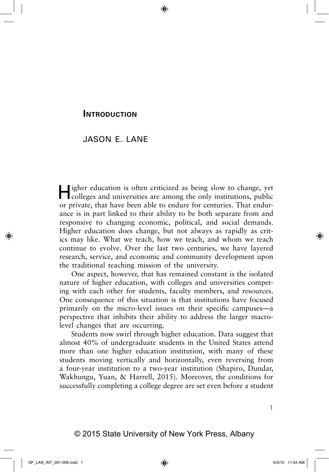## **INTRODUCTION**

## JASON E. LANE

Higher education is often criticized as being slow to change, yet colleges and universities are among the only institutions, public or private, that have been able to endure for centuries. That endurance is in part linked to their ability to be both separate from and responsive to changing economic, political, and social demands. Higher education does change, but not always as rapidly as critics may like. What we teach, how we teach, and whom we teach continue to evolve. Over the last two centuries, we have layered research, service, and economic and community development upon the traditional teaching mission of the university.

One aspect, however, that has remained constant is the isolated nature of higher education, with colleges and universities competing with each other for students, faculty members, and resources. One consequence of this situation is that institutions have focused primarily on the micro-level issues on their specific campuses—a perspective that inhibits their ability to address the larger macrolevel changes that are occurring.

Students now swirl through higher education. Data suggest that almost 40% of undergraduate students in the United States attend more than one higher education institution, with many of these students moving vertically and horizontally, even reversing from a four-year institution to a two-year institution (Shapiro, Dundar, Wakhungu, Yuan, & Harrell, 2015). Moreover, the conditions for successfully completing a college degree are set even before a student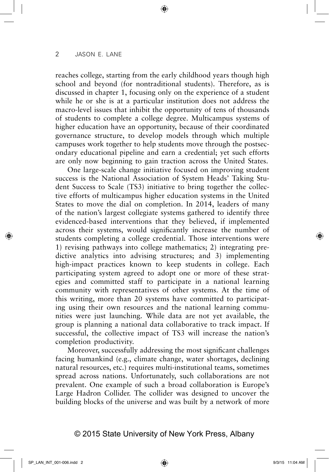reaches college, starting from the early childhood years though high school and beyond (for nontraditional students). Therefore, as is discussed in chapter 1, focusing only on the experience of a student while he or she is at a particular institution does not address the macro-level issues that inhibit the opportunity of tens of thousands of students to complete a college degree. Multicampus systems of higher education have an opportunity, because of their coordinated governance structure, to develop models through which multiple campuses work together to help students move through the postsecondary educational pipeline and earn a credential; yet such efforts are only now beginning to gain traction across the United States.

One large-scale change initiative focused on improving student success is the National Association of System Heads' Taking Student Success to Scale (TS3) initiative to bring together the collective efforts of multicampus higher education systems in the United States to move the dial on completion. In 2014, leaders of many of the nation's largest collegiate systems gathered to identify three evidenced-based interventions that they believed, if implemented across their systems, would significantly increase the number of students completing a college credential. Those interventions were 1) revising pathways into college mathematics; 2) integrating predictive analytics into advising structures; and 3) implementing high-impact practices known to keep students in college. Each participating system agreed to adopt one or more of these strategies and committed staff to participate in a national learning community with representatives of other systems. At the time of this writing, more than 20 systems have committed to participating using their own resources and the national learning communities were just launching. While data are not yet available, the group is planning a national data collaborative to track impact. If successful, the collective impact of TS3 will increase the nation's completion productivity.

Moreover, successfully addressing the most significant challenges facing humankind (e.g., climate change, water shortages, declining natural resources, etc.) requires multi-institutional teams, sometimes spread across nations. Unfortunately, such collaborations are not prevalent. One example of such a broad collaboration is Europe's Large Hadron Collider. The collider was designed to uncover the building blocks of the universe and was built by a network of more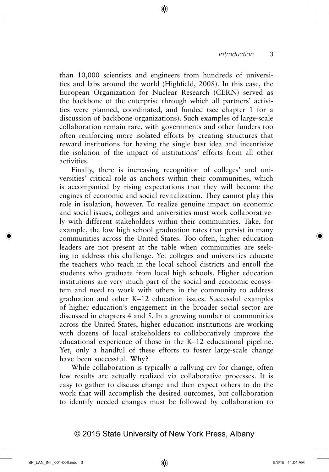than 10,000 scientists and engineers from hundreds of universities and labs around the world (Highfield, 2008). In this case, the European Organization for Nuclear Research (CERN) served as the backbone of the enterprise through which all partners' activities were planned, coordinated, and funded (see chapter 1 for a discussion of backbone organizations). Such examples of large-scale collaboration remain rare, with governments and other funders too often reinforcing more isolated efforts by creating structures that reward institutions for having the single best idea and incentivize the isolation of the impact of institutions' efforts from all other activities.

Finally, there is increasing recognition of colleges' and universities' critical role as anchors within their communities, which is accompanied by rising expectations that they will become the engines of economic and social revitalization. They cannot play this role in isolation, however. To realize genuine impact on economic and social issues, colleges and universities must work collaboratively with different stakeholders within their communities. Take, for example, the low high school graduation rates that persist in many communities across the United States. Too often, higher education leaders are not present at the table when communities are seeking to address this challenge. Yet colleges and universities educate the teachers who teach in the local school districts and enroll the students who graduate from local high schools. Higher education institutions are very much part of the social and economic ecosystem and need to work with others in the community to address graduation and other K–12 education issues. Successful examples of higher education's engagement in the broader social sector are discussed in chapters 4 and 5. In a growing number of communities across the United States, higher education institutions are working with dozens of local stakeholders to collaboratively improve the educational experience of those in the K–12 educational pipeline. Yet, only a handful of these efforts to foster large-scale change have been successful. Why?

While collaboration is typically a rallying cry for change, often few results are actually realized via collaborative processes. It is easy to gather to discuss change and then expect others to do the work that will accomplish the desired outcomes, but collaboration to identify needed changes must be followed by collaboration to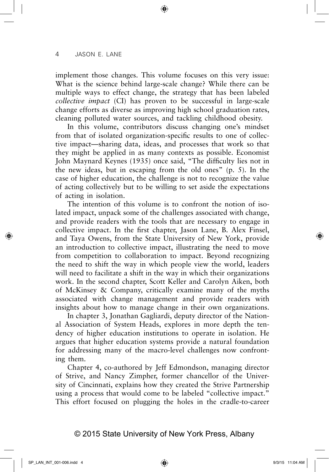implement those changes. This volume focuses on this very issue: What is the science behind large-scale change? While there can be multiple ways to effect change, the strategy that has been labeled *collective impact* (CI) has proven to be successful in large-scale change efforts as diverse as improving high school graduation rates, cleaning polluted water sources, and tackling childhood obesity.

In this volume, contributors discuss changing one's mindset from that of isolated organization-specific results to one of collective impact—sharing data, ideas, and processes that work so that they might be applied in as many contexts as possible. Economist John Maynard Keynes (1935) once said, "The difficulty lies not in the new ideas, but in escaping from the old ones" (p. 5). In the case of higher education, the challenge is not to recognize the value of acting collectively but to be willing to set aside the expectations of acting in isolation.

The intention of this volume is to confront the notion of isolated impact, unpack some of the challenges associated with change, and provide readers with the tools that are necessary to engage in collective impact. In the first chapter, Jason Lane, B. Alex Finsel, and Taya Owens, from the State University of New York, provide an introduction to collective impact, illustrating the need to move from competition to collaboration to impact. Beyond recognizing the need to shift the way in which people view the world, leaders will need to facilitate a shift in the way in which their organizations work. In the second chapter, Scott Keller and Carolyn Aiken, both of McKinsey & Company, critically examine many of the myths associated with change management and provide readers with insights about how to manage change in their own organizations.

In chapter 3, Jonathan Gagliardi, deputy director of the National Association of System Heads, explores in more depth the tendency of higher education institutions to operate in isolation. He argues that higher education systems provide a natural foundation for addressing many of the macro-level challenges now confronting them.

Chapter 4, co-authored by Jeff Edmondson, managing director of Strive, and Nancy Zimpher, former chancellor of the University of Cincinnati, explains how they created the Strive Partnership using a process that would come to be labeled "collective impact." This effort focused on plugging the holes in the cradle-to-career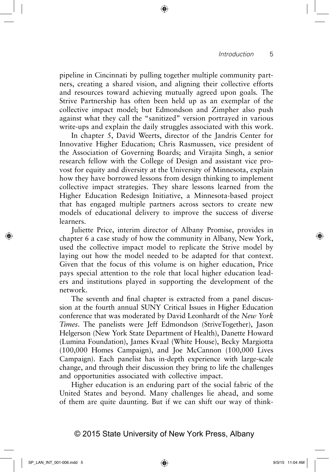pipeline in Cincinnati by pulling together multiple community partners, creating a shared vision, and aligning their collective efforts and resources toward achieving mutually agreed upon goals*.* The Strive Partnership has often been held up as an exemplar of the collective impact model; but Edmondson and Zimpher also push against what they call the "sanitized" version portrayed in various write-ups and explain the daily struggles associated with this work.

In chapter 5, David Weerts, director of the Jandris Center for Innovative Higher Education; Chris Rasmussen, vice president of the Association of Governing Boards; and Virajita Singh, a senior research fellow with the College of Design and assistant vice provost for equity and diversity at the University of Minnesota, explain how they have borrowed lessons from design thinking to implement collective impact strategies. They share lessons learned from the Higher Education Redesign Initiative, a Minnesota-based project that has engaged multiple partners across sectors to create new models of educational delivery to improve the success of diverse learners.

Juliette Price, interim director of Albany Promise, provides in chapter 6 a case study of how the community in Albany, New York, used the collective impact model to replicate the Strive model by laying out how the model needed to be adapted for that context. Given that the focus of this volume is on higher education, Price pays special attention to the role that local higher education leaders and institutions played in supporting the development of the network*.*

The seventh and final chapter is extracted from a panel discussion at the fourth annual SUNY Critical Issues in Higher Education conference that was moderated by David Leonhardt of the *New York Times*. The panelists were Jeff Edmondson (StriveTogether), Jason Helgerson (New York State Department of Health), Danette Howard (Lumina Foundation), James Kvaal (White House), Becky Margiotta (100,000 Homes Campaign), and Joe McCannon (100,000 Lives Campaign). Each panelist has in-depth experience with large-scale change, and through their discussion they bring to life the challenges and opportunities associated with collective impact.

Higher education is an enduring part of the social fabric of the United States and beyond. Many challenges lie ahead, and some of them are quite daunting. But if we can shift our way of think